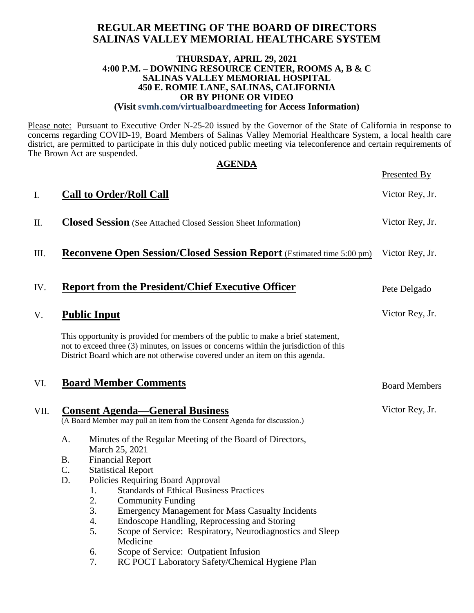### **REGULAR MEETING OF THE BOARD OF DIRECTORS SALINAS VALLEY MEMORIAL HEALTHCARE SYSTEM**

#### **THURSDAY, APRIL 29, 2021 4:00 P.M. – DOWNING RESOURCE CENTER, ROOMS A, B & C SALINAS VALLEY MEMORIAL HOSPITAL 450 E. ROMIE LANE, SALINAS, CALIFORNIA OR BY PHONE OR VIDEO (Visit svmh.com/virtualboardmeeting for Access Information)**

Please note: Pursuant to Executive Order N-25-20 issued by the Governor of the State of California in response to concerns regarding COVID-19, Board Members of Salinas Valley Memorial Healthcare System, a local health care district, are permitted to participate in this duly noticed public meeting via teleconference and certain requirements of The Brown Act are suspended.

|      | <b>AGENDA</b>                                                                                                                                                                                                                                                                                                                                                                                                                                                                                                                                          |                      |
|------|--------------------------------------------------------------------------------------------------------------------------------------------------------------------------------------------------------------------------------------------------------------------------------------------------------------------------------------------------------------------------------------------------------------------------------------------------------------------------------------------------------------------------------------------------------|----------------------|
|      |                                                                                                                                                                                                                                                                                                                                                                                                                                                                                                                                                        | Presented By         |
| I.   | <b>Call to Order/Roll Call</b>                                                                                                                                                                                                                                                                                                                                                                                                                                                                                                                         | Victor Rey, Jr.      |
| П.   | <b>Closed Session</b> (See Attached Closed Session Sheet Information)                                                                                                                                                                                                                                                                                                                                                                                                                                                                                  | Victor Rey, Jr.      |
| III. | <b>Reconvene Open Session/Closed Session Report</b> (Estimated time 5:00 pm)                                                                                                                                                                                                                                                                                                                                                                                                                                                                           | Victor Rey, Jr.      |
| IV.  | <b>Report from the President/Chief Executive Officer</b>                                                                                                                                                                                                                                                                                                                                                                                                                                                                                               | Pete Delgado         |
| V.   | <b>Public Input</b>                                                                                                                                                                                                                                                                                                                                                                                                                                                                                                                                    | Victor Rey, Jr.      |
|      | This opportunity is provided for members of the public to make a brief statement,<br>not to exceed three (3) minutes, on issues or concerns within the jurisdiction of this<br>District Board which are not otherwise covered under an item on this agenda.                                                                                                                                                                                                                                                                                            |                      |
| VI.  | <b>Board Member Comments</b>                                                                                                                                                                                                                                                                                                                                                                                                                                                                                                                           | <b>Board Members</b> |
| VII. | <b>Consent Agenda—General Business</b><br>(A Board Member may pull an item from the Consent Agenda for discussion.)                                                                                                                                                                                                                                                                                                                                                                                                                                    | Victor Rey, Jr.      |
|      | A.<br>Minutes of the Regular Meeting of the Board of Directors,<br>March 25, 2021<br><b>B.</b><br><b>Financial Report</b><br>C.<br><b>Statistical Report</b><br>D.<br>Policies Requiring Board Approval<br><b>Standards of Ethical Business Practices</b><br>1.<br>2.<br><b>Community Funding</b><br>3.<br><b>Emergency Management for Mass Casualty Incidents</b><br>Endoscope Handling, Reprocessing and Storing<br>4.<br>5.<br>Scope of Service: Respiratory, Neurodiagnostics and Sleep<br>Medicine<br>Scope of Service: Outpatient Infusion<br>6. |                      |

7. RC POCT Laboratory Safety/Chemical Hygiene Plan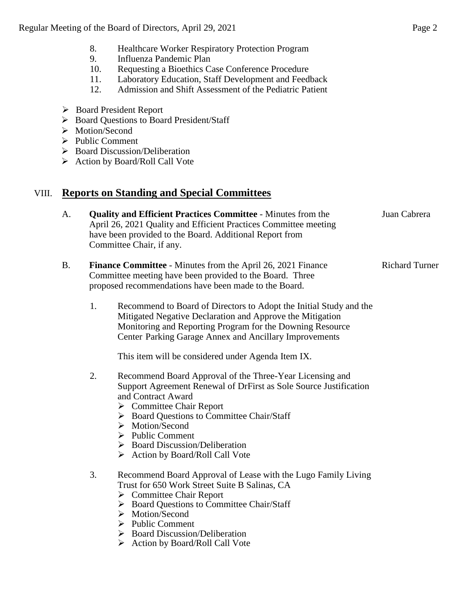- 8. Healthcare Worker Respiratory Protection Program
- 9. Influenza Pandemic Plan
- 10. Requesting a Bioethics Case Conference Procedure
- 11. Laboratory Education, Staff Development and Feedback
- 12. Admission and Shift Assessment of the Pediatric Patient
- Board President Report
- ▶ Board Questions to Board President/Staff
- > Motion/Second
- $\triangleright$  Public Comment
- $\triangleright$  Board Discussion/Deliberation
- $\triangleright$  Action by Board/Roll Call Vote

## VIII. **Reports on Standing and Special Committees**

- A. **Quality and Efficient Practices Committee** Minutes from the April 26, 2021 Quality and Efficient Practices Committee meeting have been provided to the Board. Additional Report from Committee Chair, if any. Juan Cabrera
- B. **Finance Committee** Minutes from the April 26, 2021 Finance Committee meeting have been provided to the Board. Three proposed recommendations have been made to the Board. Richard Turner
	- 1. Recommend to Board of Directors to Adopt the Initial Study and the Mitigated Negative Declaration and Approve the Mitigation Monitoring and Reporting Program for the Downing Resource Center Parking Garage Annex and Ancillary Improvements

This item will be considered under Agenda Item IX.

- 2. Recommend Board Approval of the Three-Year Licensing and Support Agreement Renewal of DrFirst as Sole Source Justification and Contract Award
	- ▶ Committee Chair Report
	- ▶ Board Questions to Committee Chair/Staff
	- > Motion/Second
	- $\triangleright$  Public Comment
	- $\triangleright$  Board Discussion/Deliberation
	- $\triangleright$  Action by Board/Roll Call Vote
- 3. Recommend Board Approval of Lease with the Lugo Family Living Trust for 650 Work Street Suite B Salinas, CA
	- **►** Committee Chair Report
	- ▶ Board Questions to Committee Chair/Staff
	- > Motion/Second
	- $\triangleright$  Public Comment
	- $\triangleright$  Board Discussion/Deliberation
	- $\triangleright$  Action by Board/Roll Call Vote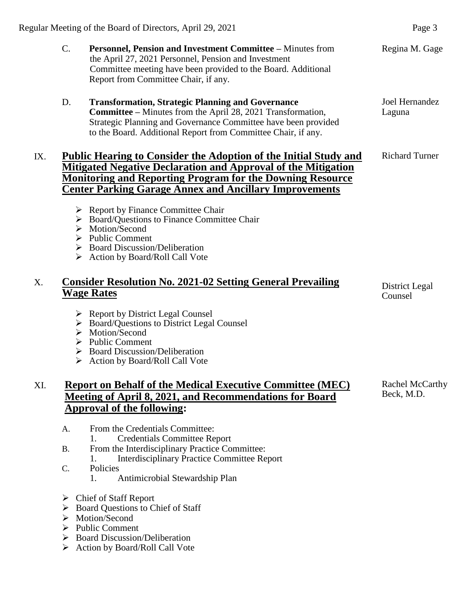- C. **Personnel, Pension and Investment Committee –** Minutes from the April 27, 2021 Personnel, Pension and Investment Committee meeting have been provided to the Board. Additional Report from Committee Chair, if any.
- D. **Transformation, Strategic Planning and Governance Committee –** Minutes from the April 28, 2021 Transformation, Strategic Planning and Governance Committee have been provided to the Board. Additional Report from Committee Chair, if any.

## IX. **Public Hearing to Consider the Adoption of the Initial Study and Mitigated Negative Declaration and Approval of the Mitigation Monitoring and Reporting Program for the Downing Resource Center Parking Garage Annex and Ancillary Improvements**

- $\triangleright$  Report by Finance Committee Chair
- ▶ Board/Ouestions to Finance Committee Chair
- > Motion/Second
- $\triangleright$  Public Comment
- $\triangleright$  Board Discussion/Deliberation
- $\triangleright$  Action by Board/Roll Call Vote

## X. **Consider Resolution No. 2021-02 Setting General Prevailing Wage Rates**

- $\triangleright$  Report by District Legal Counsel
- ▶ Board/Questions to District Legal Counsel
- > Motion/Second
- $\triangleright$  Public Comment
- ▶ Board Discussion/Deliberation
- $\triangleright$  Action by Board/Roll Call Vote

## XI. **Report on Behalf of the Medical Executive Committee (MEC) Meeting of April 8, 2021, and Recommendations for Board Approval of the following:**

- A. From the Credentials Committee:
	- 1. Credentials Committee Report
- B. From the Interdisciplinary Practice Committee: 1. Interdisciplinary Practice Committee Report
- C. Policies
	- 1. Antimicrobial Stewardship Plan
- Chief of Staff Report
- $\triangleright$  Board Questions to Chief of Staff
- > Motion/Second
- $\triangleright$  Public Comment
- $\triangleright$  Board Discussion/Deliberation
- ▶ Action by Board/Roll Call Vote

Regina M. Gage

Joel Hernandez Laguna

Richard Turner

District Legal Counsel

Rachel McCarthy Beck, M.D.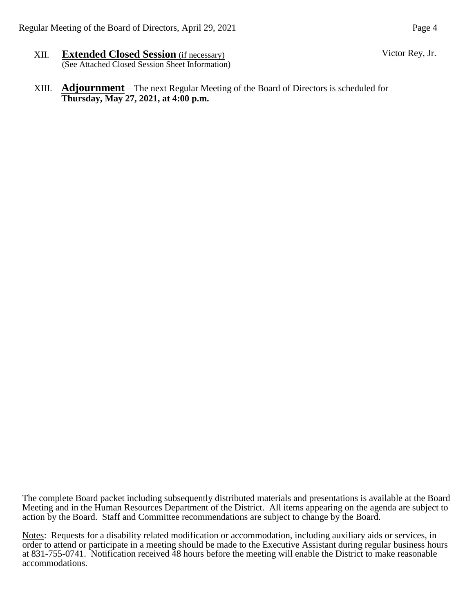- XII. **Extended Closed Session** (if necessary) (See Attached Closed Session Sheet Information)
- XIII. **Adjournment** The next Regular Meeting of the Board of Directors is scheduled for **Thursday, May 27, 2021, at 4:00 p.m.**

The complete Board packet including subsequently distributed materials and presentations is available at the Board Meeting and in the Human Resources Department of the District. All items appearing on the agenda are subject to action by the Board. Staff and Committee recommendations are subject to change by the Board.

Notes: Requests for a disability related modification or accommodation, including auxiliary aids or services, in order to attend or participate in a meeting should be made to the Executive Assistant during regular business hours at 831-755-0741. Notification received 48 hours before the meeting will enable the District to make reasonable accommodations.

Victor Rey, Jr.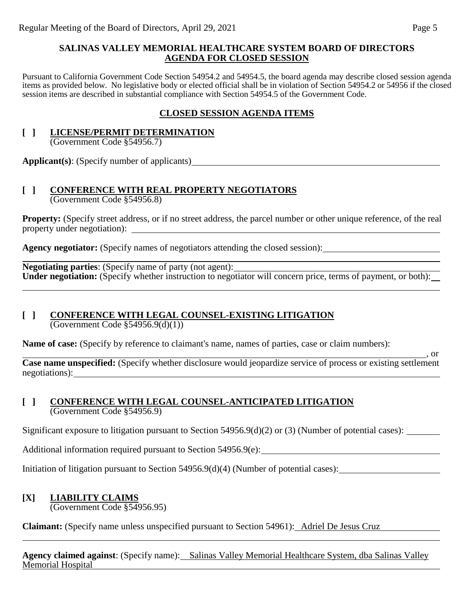### **SALINAS VALLEY MEMORIAL HEALTHCARE SYSTEM BOARD OF DIRECTORS AGENDA FOR CLOSED SESSION**

Pursuant to California Government Code Section 54954.2 and 54954.5, the board agenda may describe closed session agenda items as provided below. No legislative body or elected official shall be in violation of Section 54954.2 or 54956 if the closed session items are described in substantial compliance with Section 54954.5 of the Government Code.

### **CLOSED SESSION AGENDA ITEMS**

## **[ ] LICENSE/PERMIT DETERMINATION**

(Government Code §54956.7)

**Applicant(s)**: (Specify number of applicants)

### **[ ] CONFERENCE WITH REAL PROPERTY NEGOTIATORS** (Government Code §54956.8)

**Property:** (Specify street address, or if no street address, the parcel number or other unique reference, of the real property under negotiation):

**Agency negotiator:** (Specify names of negotiators attending the closed session):

**Negotiating parties**: (Specify name of party (not agent): **Under negotiation:** (Specify whether instruction to negotiator will concern price, terms of payment, or both):

# **[ ] CONFERENCE WITH LEGAL COUNSEL-EXISTING LITIGATION**

(Government Code §54956.9(d)(1))

**Name of case:** (Specify by reference to claimant's name, names of parties, case or claim numbers):

<u>, or</u> **Case name unspecified:** (Specify whether disclosure would jeopardize service of process or existing settlement negotiations):

### **[ ] CONFERENCE WITH LEGAL COUNSEL-ANTICIPATED LITIGATION** (Government Code §54956.9)

Significant exposure to litigation pursuant to Section 54956.9(d)(2) or (3) (Number of potential cases):

Additional information required pursuant to Section 54956.9(e):

Initiation of litigation pursuant to Section 54956.9(d)(4) (Number of potential cases):

# **[X] LIABILITY CLAIMS**

(Government Code §54956.95)

**Claimant:** (Specify name unless unspecified pursuant to Section 54961): Adriel De Jesus Cruz

**Agency claimed against**: (Specify name): Salinas Valley Memorial Healthcare System, dba Salinas Valley Memorial Hospital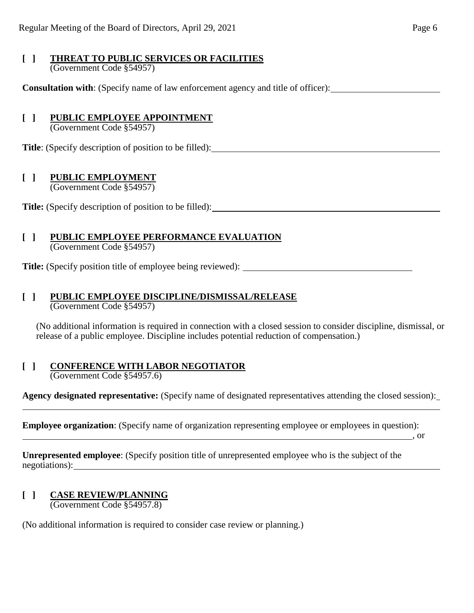### **[ ] THREAT TO PUBLIC SERVICES OR FACILITIES** (Government Code §54957)

**Consultation with**: (Specify name of law enforcement agency and title of officer):

## **[ ] PUBLIC EMPLOYEE APPOINTMENT**

(Government Code §54957)

**Title**: (Specify description of position to be filled):

## **[ ] PUBLIC EMPLOYMENT**

(Government Code §54957)

**Title:** (Specify description of position to be filled):

### **[ ] PUBLIC EMPLOYEE PERFORMANCE EVALUATION** (Government Code §54957)

**Title:** (Specify position title of employee being reviewed):

# **[ ] PUBLIC EMPLOYEE DISCIPLINE/DISMISSAL/RELEASE**

(Government Code §54957)

(No additional information is required in connection with a closed session to consider discipline, dismissal, or release of a public employee. Discipline includes potential reduction of compensation.)

#### **[ ] CONFERENCE WITH LABOR NEGOTIATOR** (Government Code §54957.6)

**Agency designated representative:** (Specify name of designated representatives attending the closed session):

**Employee organization**: (Specify name of organization representing employee or employees in question):

 $\sim$ , or

**Unrepresented employee**: (Specify position title of unrepresented employee who is the subject of the negotiations):

### **[ ] CASE REVIEW/PLANNING** (Government Code §54957.8)

l

(No additional information is required to consider case review or planning.)